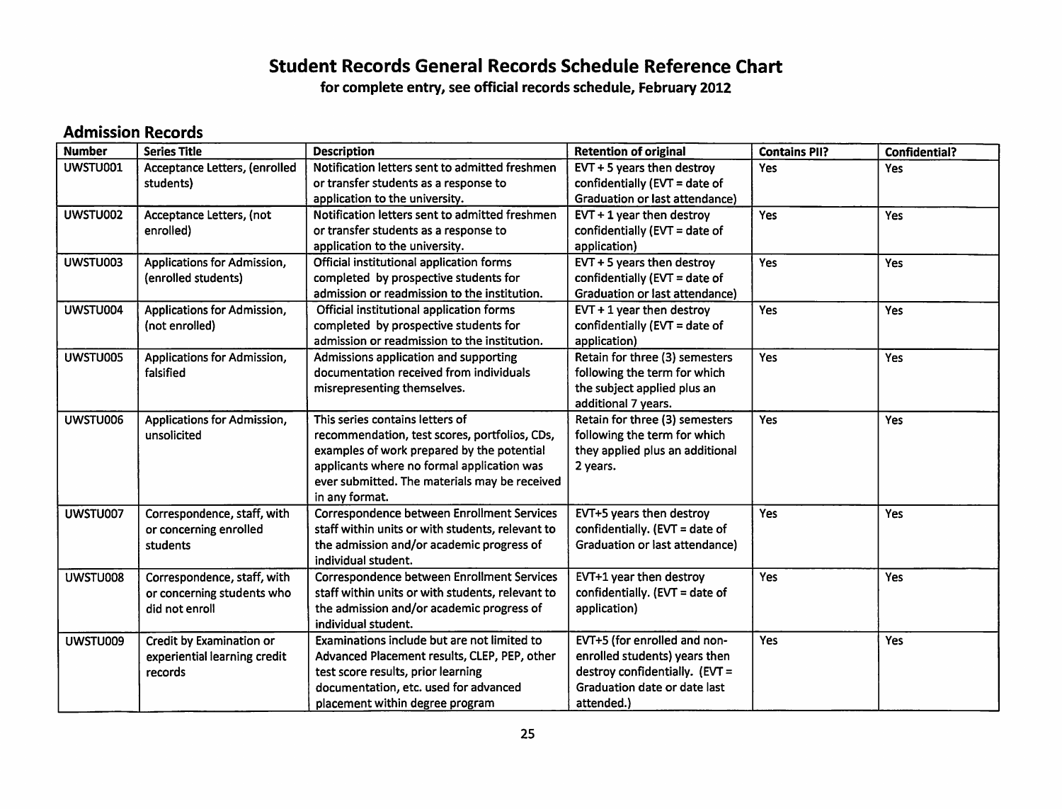## *Student Records General Records Schedule Reference Chart*

*for complete entry, see official records schedule, February 2012*

#### *Admission Records*

| <b>Number</b> | <b>Series Title</b>                                                         | <b>Description</b>                                                                                                                                                                                                                              | <b>Retention of original</b>                                                                                                                  | <b>Contains PII?</b> | <b>Confidential?</b> |
|---------------|-----------------------------------------------------------------------------|-------------------------------------------------------------------------------------------------------------------------------------------------------------------------------------------------------------------------------------------------|-----------------------------------------------------------------------------------------------------------------------------------------------|----------------------|----------------------|
| UWSTU001      | Acceptance Letters, (enrolled<br>students)                                  | Notification letters sent to admitted freshmen<br>or transfer students as a response to<br>application to the university.                                                                                                                       | EVT + 5 years then destroy<br>confidentially (EVT = date of<br>Graduation or last attendance)                                                 | Yes                  | Yes                  |
| UWSTU002      | Acceptance Letters, (not<br>enrolled)                                       | Notification letters sent to admitted freshmen<br>or transfer students as a response to<br>application to the university.                                                                                                                       | $EVT + 1$ year then destroy<br>confidentially ( $EVT = date of$<br>application)                                                               | Yes                  | Yes                  |
| UWSTU003      | Applications for Admission,<br>(enrolled students)                          | Official institutional application forms<br>completed by prospective students for<br>admission or readmission to the institution.                                                                                                               | EVT + 5 years then destroy<br>confidentially ( $EVT = date of$<br><b>Graduation or last attendance)</b>                                       | Yes                  | Yes                  |
| UWSTU004      | <b>Applications for Admission,</b><br>(not enrolled)                        | Official institutional application forms<br>completed by prospective students for<br>admission or readmission to the institution.                                                                                                               | $EVT + 1$ year then destroy<br>confidentially ( $EVT = date of$<br>application)                                                               | Yes                  | Yes                  |
| UWSTU005      | Applications for Admission,<br>falsified                                    | Admissions application and supporting<br>documentation received from individuals<br>misrepresenting themselves.                                                                                                                                 | Retain for three (3) semesters<br>following the term for which<br>the subject applied plus an<br>additional 7 years.                          | Yes                  | Yes                  |
| UWSTU006      | Applications for Admission,<br>unsolicited                                  | This series contains letters of<br>recommendation, test scores, portfolios, CDs,<br>examples of work prepared by the potential<br>applicants where no formal application was<br>ever submitted. The materials may be received<br>in any format. | Retain for three (3) semesters<br>following the term for which<br>they applied plus an additional<br>2 years.                                 | Yes                  | Yes                  |
| UWSTU007      | Correspondence, staff, with<br>or concerning enrolled<br>students           | Correspondence between Enrollment Services<br>staff within units or with students, relevant to<br>the admission and/or academic progress of<br>individual student.                                                                              | EVT+5 years then destroy<br>confidentially. (EVT = date of<br>Graduation or last attendance)                                                  | Yes                  | Yes                  |
| UWSTU008      | Correspondence, staff, with<br>or concerning students who<br>did not enroll | Correspondence between Enrollment Services<br>staff within units or with students, relevant to<br>the admission and/or academic progress of<br>individual student.                                                                              | EVT+1 year then destroy<br>confidentially. (EVT = date of<br>application)                                                                     | Yes                  | Yes                  |
| UWSTU009      | Credit by Examination or<br>experiential learning credit<br>records         | Examinations include but are not limited to<br>Advanced Placement results, CLEP, PEP, other<br>test score results, prior learning<br>documentation, etc. used for advanced<br>placement within degree program                                   | EVT+5 (for enrolled and non-<br>enrolled students) years then<br>destroy confidentially. (EVT =<br>Graduation date or date last<br>attended.) | Yes                  | <b>Yes</b>           |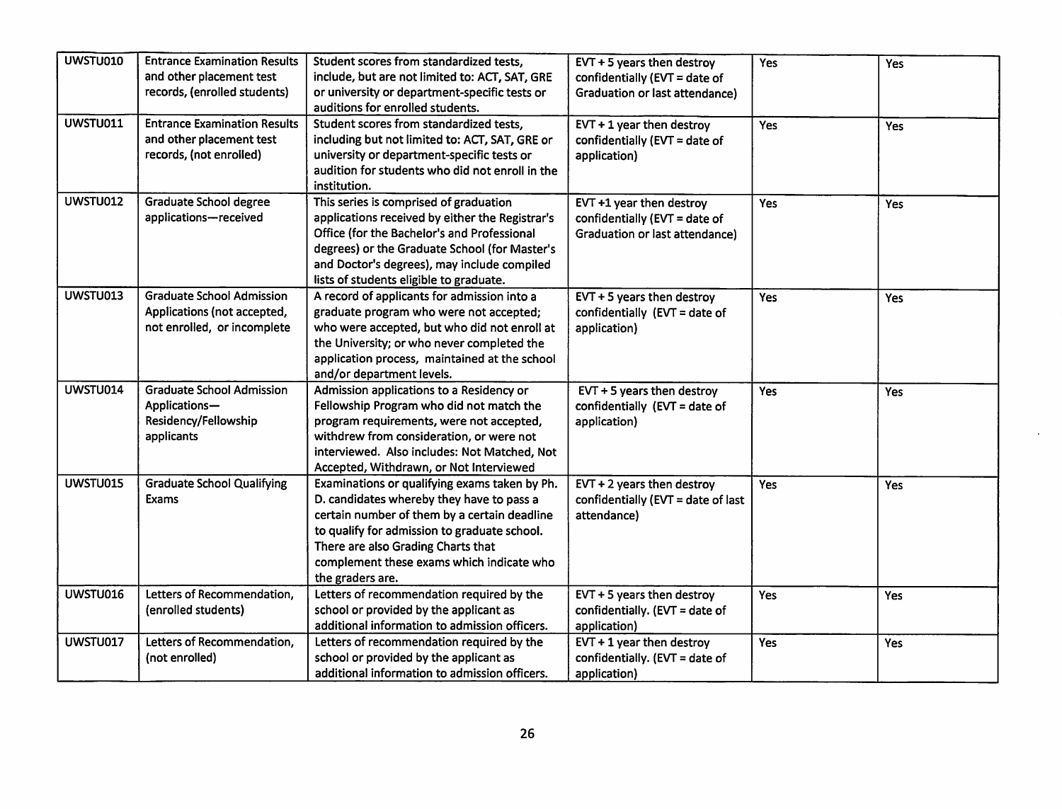| UWSTU010        | <b>Entrance Examination Results</b><br>and other placement test | Student scores from standardized tests,<br>include, but are not limited to: ACT, SAT, GRE | $EVT + 5$ years then destroy<br>confidentially (EVT = date of | Yes | Yes        |
|-----------------|-----------------------------------------------------------------|-------------------------------------------------------------------------------------------|---------------------------------------------------------------|-----|------------|
|                 | records, (enrolled students)                                    | or university or department-specific tests or                                             | <b>Graduation or last attendance)</b>                         |     |            |
|                 |                                                                 | auditions for enrolled students.                                                          |                                                               |     |            |
| UWSTU011        | <b>Entrance Examination Results</b>                             | Student scores from standardized tests.                                                   |                                                               |     |            |
|                 |                                                                 |                                                                                           | $EVT + 1$ year then destroy                                   | Yes | <b>Yes</b> |
|                 | and other placement test                                        | including but not limited to: ACT, SAT, GRE or                                            | confidentially (EVT = date of                                 |     |            |
|                 | records, (not enrolled)                                         | university or department-specific tests or                                                | application)                                                  |     |            |
|                 |                                                                 | audition for students who did not enroll in the                                           |                                                               |     |            |
|                 |                                                                 | institution.                                                                              |                                                               |     |            |
| UWSTU012        | <b>Graduate School degree</b>                                   | This series is comprised of graduation                                                    | EVT +1 year then destroy                                      | Yes | <b>Yes</b> |
|                 | applications-received                                           | applications received by either the Registrar's                                           | confidentially (EVT = date of                                 |     |            |
|                 |                                                                 | Office (for the Bachelor's and Professional                                               | Graduation or last attendance)                                |     |            |
|                 |                                                                 | degrees) or the Graduate School (for Master's                                             |                                                               |     |            |
|                 |                                                                 | and Doctor's degrees), may include compiled                                               |                                                               |     |            |
|                 |                                                                 | lists of students eligible to graduate.                                                   |                                                               |     |            |
| UWSTU013        | <b>Graduate School Admission</b>                                | A record of applicants for admission into a                                               | $EVT + 5$ years then destroy                                  | Yes | Yes        |
|                 | Applications (not accepted,                                     | graduate program who were not accepted;                                                   | confidentially (EVT = date of                                 |     |            |
|                 | not enrolled, or incomplete                                     | who were accepted, but who did not enroll at                                              | application)                                                  |     |            |
|                 |                                                                 | the University; or who never completed the                                                |                                                               |     |            |
|                 |                                                                 | application process, maintained at the school                                             |                                                               |     |            |
|                 |                                                                 | and/or department levels.                                                                 |                                                               |     |            |
| UWSTU014        | <b>Graduate School Admission</b>                                | Admission applications to a Residency or                                                  | $EVT + 5$ years then destroy                                  | Yes | Yes        |
|                 | Applications-                                                   | Fellowship Program who did not match the                                                  | confidentially $(EVT = date of$                               |     |            |
|                 | Residency/Fellowship                                            | program requirements, were not accepted,                                                  | application)                                                  |     |            |
|                 | applicants                                                      | withdrew from consideration, or were not                                                  |                                                               |     |            |
|                 |                                                                 | interviewed. Also includes: Not Matched, Not                                              |                                                               |     |            |
|                 |                                                                 | Accepted, Withdrawn, or Not Interviewed                                                   |                                                               |     |            |
| UWSTU015        | <b>Graduate School Qualifying</b>                               | Examinations or qualifying exams taken by Ph.                                             | $EVT + 2$ years then destroy                                  | Yes | Yes        |
|                 | <b>Exams</b>                                                    | D. candidates whereby they have to pass a                                                 | confidentially (EVT = date of last                            |     |            |
|                 |                                                                 | certain number of them by a certain deadline                                              | attendance)                                                   |     |            |
|                 |                                                                 | to qualify for admission to graduate school.                                              |                                                               |     |            |
|                 |                                                                 | There are also Grading Charts that                                                        |                                                               |     |            |
|                 |                                                                 | complement these exams which indicate who                                                 |                                                               |     |            |
|                 |                                                                 | the graders are.                                                                          |                                                               |     |            |
| UWSTU016        | Letters of Recommendation,                                      | Letters of recommendation required by the                                                 | EVT + 5 years then destroy                                    | Yes | Yes        |
|                 | (enrolled students)                                             | school or provided by the applicant as                                                    | confidentially. (EVT = date of                                |     |            |
|                 |                                                                 | additional information to admission officers.                                             | application)                                                  |     |            |
| <b>UWSTU017</b> | Letters of Recommendation,                                      | Letters of recommendation required by the                                                 | $EVT + 1$ year then destroy                                   | Yes | Yes        |
|                 | (not enrolled)                                                  | school or provided by the applicant as                                                    | confidentially. $EVT = date of$                               |     |            |
|                 |                                                                 |                                                                                           |                                                               |     |            |

 $\sim$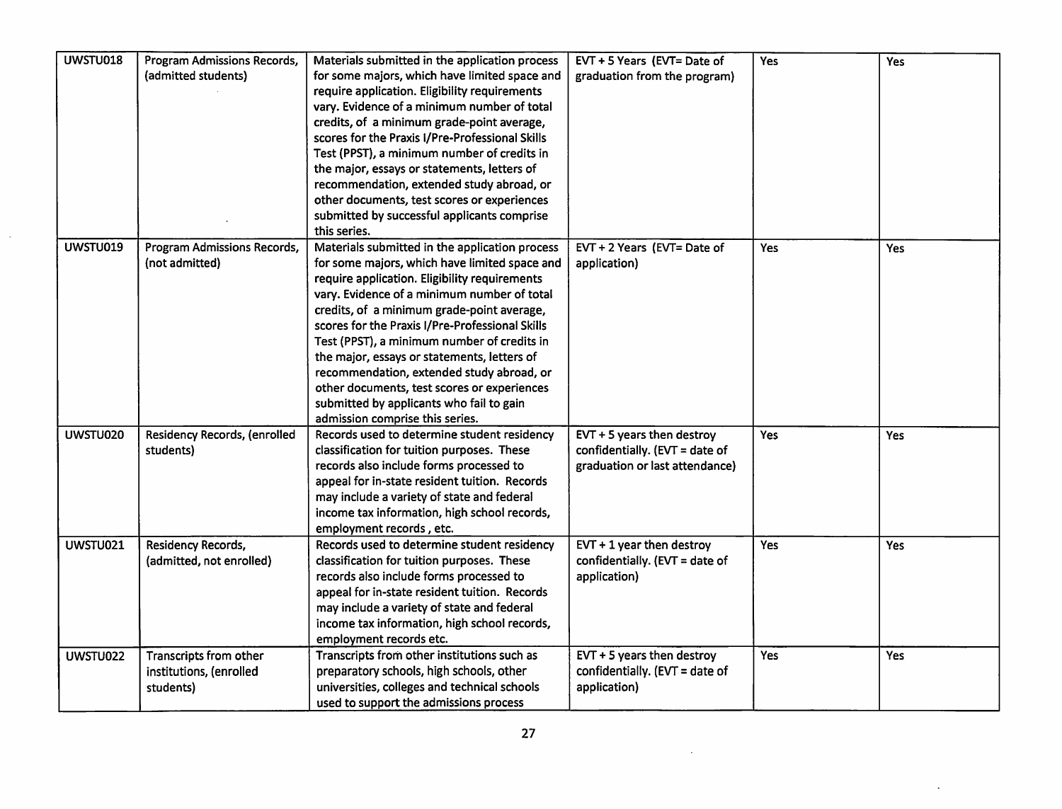| <b>UWSTU018</b> | <b>Program Admissions Records,</b> | Materials submitted in the application process  | EVT + 5 Years (EVT= Date of     | Yes        | Yes        |
|-----------------|------------------------------------|-------------------------------------------------|---------------------------------|------------|------------|
|                 | (admitted students)                | for some majors, which have limited space and   | graduation from the program)    |            |            |
|                 |                                    | require application. Eligibility requirements   |                                 |            |            |
|                 |                                    | vary. Evidence of a minimum number of total     |                                 |            |            |
|                 |                                    | credits, of a minimum grade-point average,      |                                 |            |            |
|                 |                                    | scores for the Praxis I/Pre-Professional Skills |                                 |            |            |
|                 |                                    | Test (PPST), a minimum number of credits in     |                                 |            |            |
|                 |                                    | the major, essays or statements, letters of     |                                 |            |            |
|                 |                                    | recommendation, extended study abroad, or       |                                 |            |            |
|                 |                                    | other documents, test scores or experiences     |                                 |            |            |
|                 |                                    | submitted by successful applicants comprise     |                                 |            |            |
|                 |                                    | this series.                                    |                                 |            |            |
| UWSTU019        | Program Admissions Records,        | Materials submitted in the application process  | EVT + 2 Years (EVT= Date of     | <b>Yes</b> | <b>Yes</b> |
|                 | (not admitted)                     | for some majors, which have limited space and   | application)                    |            |            |
|                 |                                    | require application. Eligibility requirements   |                                 |            |            |
|                 |                                    | vary. Evidence of a minimum number of total     |                                 |            |            |
|                 |                                    | credits, of a minimum grade-point average,      |                                 |            |            |
|                 |                                    | scores for the Praxis I/Pre-Professional Skills |                                 |            |            |
|                 |                                    | Test (PPST), a minimum number of credits in     |                                 |            |            |
|                 |                                    | the major, essays or statements, letters of     |                                 |            |            |
|                 |                                    | recommendation, extended study abroad, or       |                                 |            |            |
|                 |                                    | other documents, test scores or experiences     |                                 |            |            |
|                 |                                    | submitted by applicants who fail to gain        |                                 |            |            |
|                 |                                    | admission comprise this series.                 |                                 |            |            |
| UWSTU020        | Residency Records, (enrolled       | Records used to determine student residency     | EVT + 5 years then destroy      | Yes        | Yes        |
|                 | students)                          | classification for tuition purposes. These      | confidentially. $EVT = date of$ |            |            |
|                 |                                    | records also include forms processed to         | graduation or last attendance)  |            |            |
|                 |                                    | appeal for in-state resident tuition. Records   |                                 |            |            |
|                 |                                    | may include a variety of state and federal      |                                 |            |            |
|                 |                                    | income tax information, high school records,    |                                 |            |            |
|                 |                                    | employment records, etc.                        |                                 |            |            |
| UWSTU021        | Residency Records,                 | Records used to determine student residency     | $EVT + 1$ year then destroy     | Yes        | Yes        |
|                 | (admitted, not enrolled)           | classification for tuition purposes. These      | confidentially. (EVT = date of  |            |            |
|                 |                                    | records also include forms processed to         | application)                    |            |            |
|                 |                                    | appeal for in-state resident tuition. Records   |                                 |            |            |
|                 |                                    |                                                 |                                 |            |            |
|                 |                                    | may include a variety of state and federal      |                                 |            |            |
|                 |                                    | income tax information, high school records,    |                                 |            |            |
|                 |                                    | employment records etc.                         |                                 |            |            |
| UWSTU022        | Transcripts from other             | Transcripts from other institutions such as     | EVT $+5$ years then destroy     | Yes        | <b>Yes</b> |
|                 | institutions, (enrolled            | preparatory schools, high schools, other        | confidentially. (EVT = date of  |            |            |
|                 | students)                          | universities, colleges and technical schools    | application)                    |            |            |
|                 |                                    | used to support the admissions process          |                                 |            |            |

 $\mathcal{L}$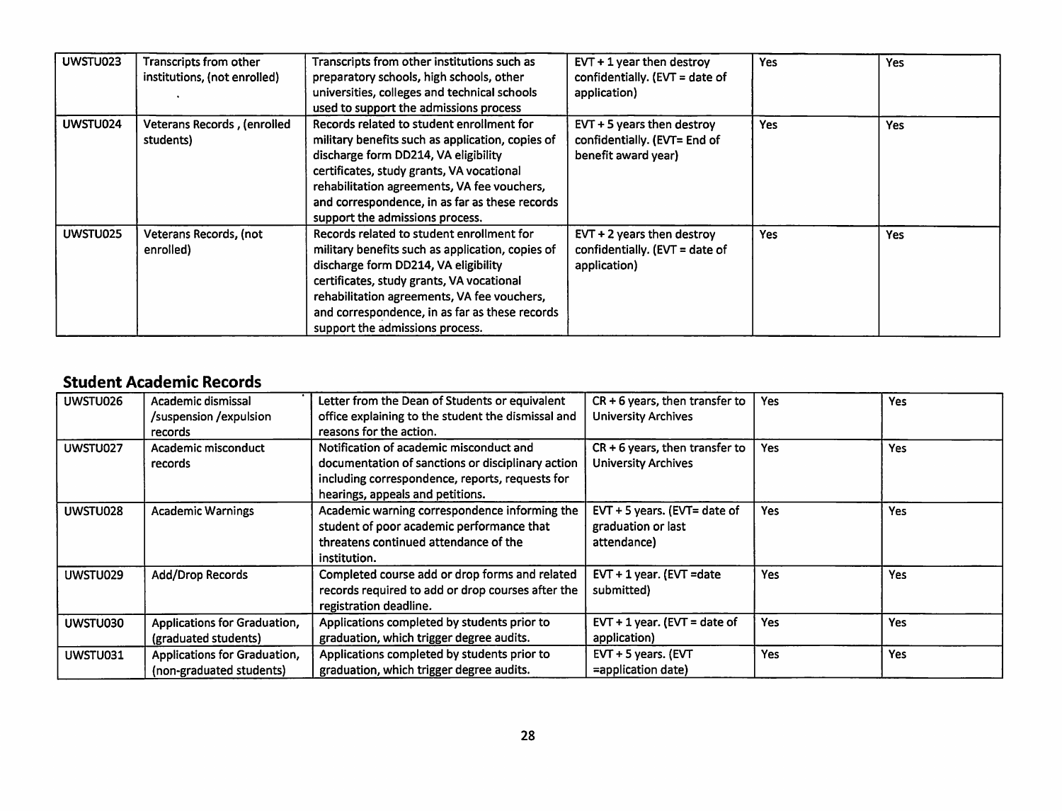| UWSTU023 | Transcripts from other<br>institutions, (not enrolled) | Transcripts from other institutions such as<br>preparatory schools, high schools, other<br>universities, colleges and technical schools<br>used to support the admissions process                                                                                                                                      | $EVT + 1$ year then destroy<br>confidentially. (EVT = date of<br>application)      | Yes        | Yes        |
|----------|--------------------------------------------------------|------------------------------------------------------------------------------------------------------------------------------------------------------------------------------------------------------------------------------------------------------------------------------------------------------------------------|------------------------------------------------------------------------------------|------------|------------|
| UWSTU024 | Veterans Records, (enrolled<br>students)               | Records related to student enrollment for<br>military benefits such as application, copies of<br>discharge form DD214, VA eligibility<br>certificates, study grants, VA vocational<br>rehabilitation agreements, VA fee vouchers,<br>and correspondence, in as far as these records<br>support the admissions process. | EVT $+5$ years then destroy<br>confidentially. (EVT= End of<br>benefit award year) | <b>Yes</b> | <b>Yes</b> |
| UWSTU025 | Veterans Records, (not<br>enrolled)                    | Records related to student enrollment for<br>military benefits such as application, copies of<br>discharge form DD214, VA eligibility<br>certificates, study grants, VA vocational<br>rehabilitation agreements, VA fee vouchers,<br>and correspondence, in as far as these records<br>support the admissions process. | $EVT + 2$ years then destroy<br>confidentially. $EVT = date of$<br>application)    | Yes        | <b>Yes</b> |

#### *Student Academic Records*

| UWSTU026 | Academic dismissal<br>/suspension /expulsion<br>records  | Letter from the Dean of Students or equivalent<br>office explaining to the student the dismissal and<br>reasons for the action.                                                     | $CR + 6$ years, then transfer to<br><b>University Archives</b>    | Yes        | Yes |
|----------|----------------------------------------------------------|-------------------------------------------------------------------------------------------------------------------------------------------------------------------------------------|-------------------------------------------------------------------|------------|-----|
| UWSTU027 | Academic misconduct<br><b>records</b>                    | Notification of academic misconduct and<br>documentation of sanctions or disciplinary action<br>including correspondence, reports, requests for<br>hearings, appeals and petitions. | $CR + 6$ years, then transfer to<br><b>University Archives</b>    | Yes        | Yes |
| UWSTU028 | <b>Academic Warnings</b>                                 | Academic warning correspondence informing the<br>student of poor academic performance that<br>threatens continued attendance of the<br>institution.                                 | EVT + 5 years. (EVT= date of<br>graduation or last<br>attendance) | Yes        | Yes |
| UWSTU029 | Add/Drop Records                                         | Completed course add or drop forms and related<br>records required to add or drop courses after the<br>registration deadline.                                                       | EVT + 1 year. (EVT = date<br>submitted)                           | <b>Yes</b> | Yes |
| UWSTU030 | Applications for Graduation,<br>(graduated students)     | Applications completed by students prior to<br>graduation, which trigger degree audits.                                                                                             | $EVT + 1$ year. (EVT = date of<br>application)                    | Yes        | Yes |
| UWSTU031 | Applications for Graduation,<br>(non-graduated students) | Applications completed by students prior to<br>graduation, which trigger degree audits.                                                                                             | EVT + 5 years. (EVT<br>=application date)                         | <b>Yes</b> | Yes |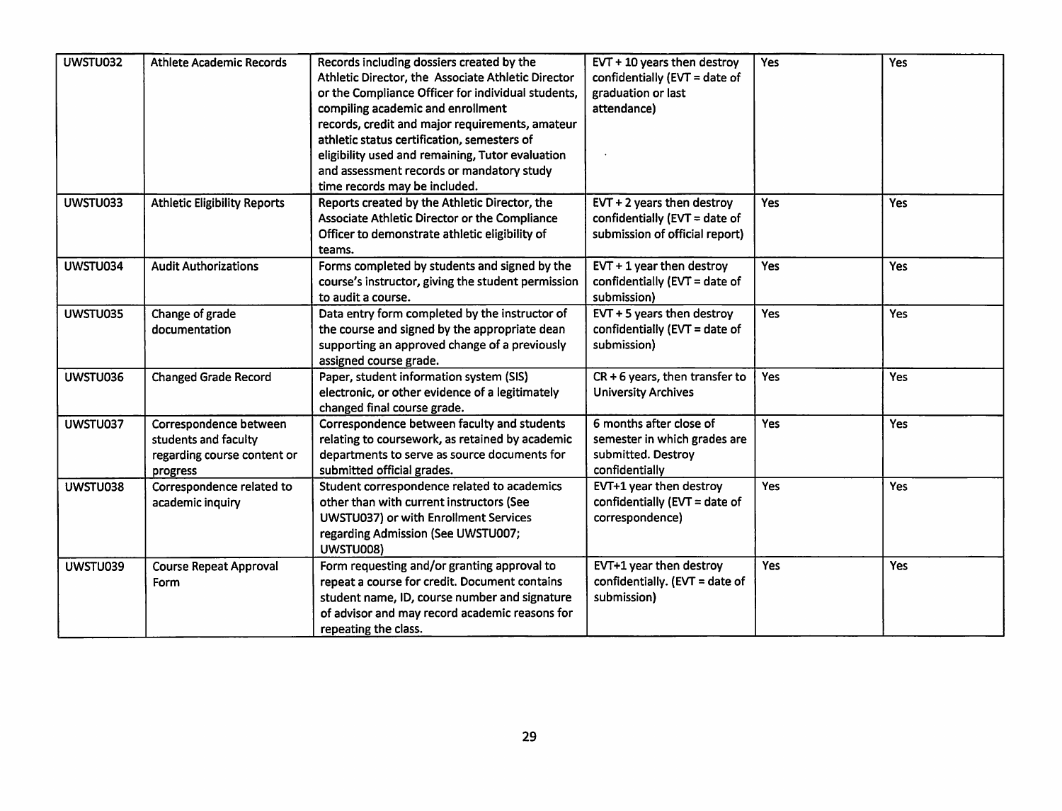| UWSTU032 | <b>Athlete Academic Records</b>                                                           | Records including dossiers created by the<br>Athletic Director, the Associate Athletic Director<br>or the Compliance Officer for individual students,<br>compiling academic and enrollment<br>records, credit and major requirements, amateur<br>athletic status certification, semesters of<br>eligibility used and remaining, Tutor evaluation<br>and assessment records or mandatory study<br>time records may be included. | EVT + 10 years then destroy<br>confidentially (EVT = date of<br>graduation or last<br>attendance) | Yes        | Yes |
|----------|-------------------------------------------------------------------------------------------|--------------------------------------------------------------------------------------------------------------------------------------------------------------------------------------------------------------------------------------------------------------------------------------------------------------------------------------------------------------------------------------------------------------------------------|---------------------------------------------------------------------------------------------------|------------|-----|
| UWSTU033 | <b>Athletic Eligibility Reports</b>                                                       | Reports created by the Athletic Director, the<br>Associate Athletic Director or the Compliance<br>Officer to demonstrate athletic eligibility of<br>teams.                                                                                                                                                                                                                                                                     | $EVT + 2$ years then destroy<br>confidentially (EVT = date of<br>submission of official report)   | Yes        | Yes |
| UWSTU034 | <b>Audit Authorizations</b>                                                               | Forms completed by students and signed by the<br>course's instructor, giving the student permission<br>to audit a course.                                                                                                                                                                                                                                                                                                      | $EVT + 1$ year then destroy<br>confidentially (EVT = date of<br>submission)                       | <b>Yes</b> | Yes |
| UWSTU035 | Change of grade<br>documentation                                                          | Data entry form completed by the instructor of<br>the course and signed by the appropriate dean<br>supporting an approved change of a previously<br>assigned course grade.                                                                                                                                                                                                                                                     | EVT $+5$ years then destroy<br>confidentially ( $EVT = date of$<br>submission)                    | <b>Yes</b> | Yes |
| UWSTU036 | <b>Changed Grade Record</b>                                                               | Paper, student information system (SIS)<br>electronic, or other evidence of a legitimately<br>changed final course grade.                                                                                                                                                                                                                                                                                                      | $CR + 6$ years, then transfer to<br><b>University Archives</b>                                    | Yes        | Yes |
| UWSTU037 | Correspondence between<br>students and faculty<br>regarding course content or<br>progress | Correspondence between faculty and students<br>relating to coursework, as retained by academic<br>departments to serve as source documents for<br>submitted official grades.                                                                                                                                                                                                                                                   | 6 months after close of<br>semester in which grades are<br>submitted. Destroy<br>confidentially   | Yes        | Yes |
| UWSTU038 | Correspondence related to<br>academic inquiry                                             | Student correspondence related to academics<br>other than with current instructors (See<br>UWSTU037) or with Enrollment Services<br>regarding Admission (See UWSTU007;<br>UWSTU008)                                                                                                                                                                                                                                            | EVT+1 year then destroy<br>confidentially (EVT = date of<br>correspondence)                       | Yes        | Yes |
| UWSTU039 | <b>Course Repeat Approval</b><br>Form                                                     | Form requesting and/or granting approval to<br>repeat a course for credit. Document contains<br>student name, ID, course number and signature<br>of advisor and may record academic reasons for<br>repeating the class.                                                                                                                                                                                                        | EVT+1 year then destroy<br>confidentially. (EVT = date of<br>submission)                          | <b>Yes</b> | Yes |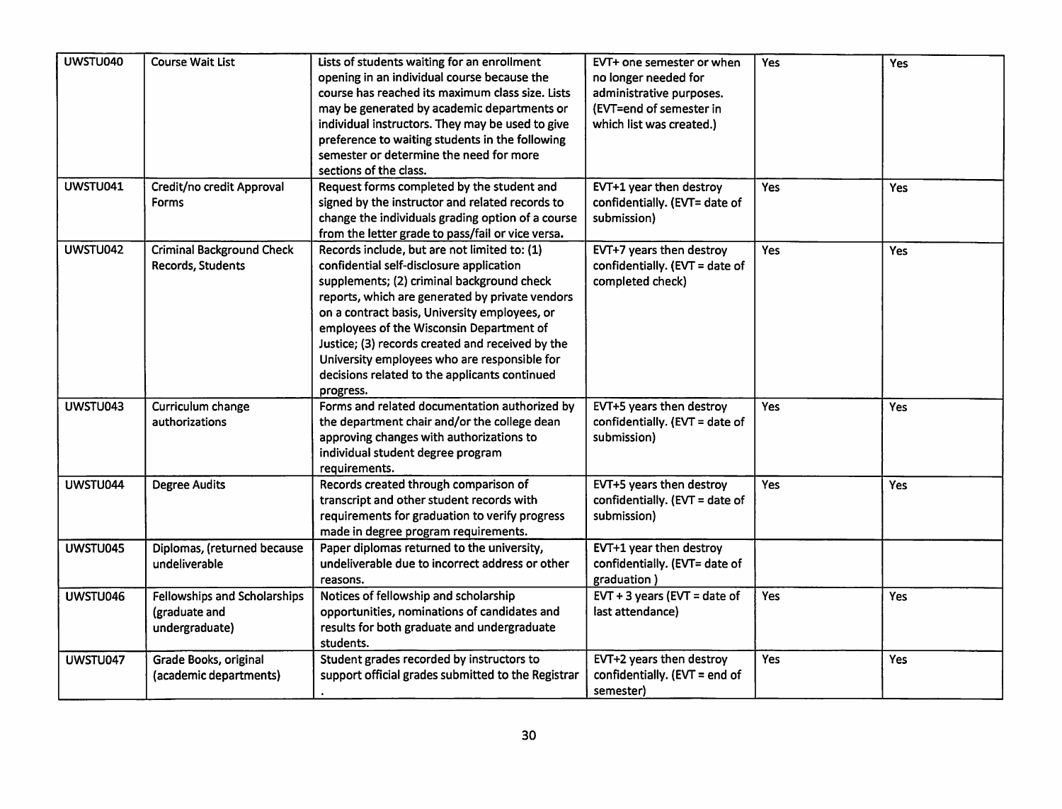| UWSTU040 | <b>Course Wait List</b>                                         | Lists of students waiting for an enrollment<br>opening in an individual course because the<br>course has reached its maximum class size. Lists<br>may be generated by academic departments or<br>individual instructors. They may be used to give<br>preference to waiting students in the following<br>semester or determine the need for more<br>sections of the class.                                                                                | EVT+ one semester or when<br>no longer needed for<br>administrative purposes.<br>(EVT=end of semester in<br>which list was created.) | Yes        | Yes |
|----------|-----------------------------------------------------------------|----------------------------------------------------------------------------------------------------------------------------------------------------------------------------------------------------------------------------------------------------------------------------------------------------------------------------------------------------------------------------------------------------------------------------------------------------------|--------------------------------------------------------------------------------------------------------------------------------------|------------|-----|
| UWSTU041 | Credit/no credit Approval<br><b>Forms</b>                       | Request forms completed by the student and<br>signed by the instructor and related records to<br>change the individuals grading option of a course<br>from the letter grade to pass/fail or vice versa.                                                                                                                                                                                                                                                  | EVT+1 year then destroy<br>confidentially. (EVT= date of<br>submission)                                                              | <b>Yes</b> | Yes |
| UWSTU042 | <b>Criminal Background Check</b><br>Records, Students           | Records include, but are not limited to: (1)<br>confidential self-disclosure application<br>supplements; (2) criminal background check<br>reports, which are generated by private vendors<br>on a contract basis, University employees, or<br>employees of the Wisconsin Department of<br>Justice; (3) records created and received by the<br>University employees who are responsible for<br>decisions related to the applicants continued<br>progress. | EVT+7 years then destroy<br>confidentially. (EVT = date of<br>completed check)                                                       | Yes        | Yes |
| UWSTU043 | Curriculum change<br>authorizations                             | Forms and related documentation authorized by<br>the department chair and/or the college dean<br>approving changes with authorizations to<br>individual student degree program<br>requirements.                                                                                                                                                                                                                                                          | EVT+5 years then destroy<br>confidentially. (EVT = date of<br>submission)                                                            | Yes        | Yes |
| UWSTU044 | <b>Degree Audits</b>                                            | Records created through comparison of<br>transcript and other student records with<br>requirements for graduation to verify progress<br>made in degree program requirements.                                                                                                                                                                                                                                                                             | EVT+5 years then destroy<br>confidentially. (EVT = date of<br>submission)                                                            | <b>Yes</b> | Yes |
| UWSTU045 | Diplomas, (returned because<br>undeliverable                    | Paper diplomas returned to the university,<br>undeliverable due to incorrect address or other<br>reasons.                                                                                                                                                                                                                                                                                                                                                | EVT+1 year then destroy<br>confidentially. (EVT= date of<br>graduation)                                                              |            |     |
| UWSTU046 | Fellowships and Scholarships<br>(graduate and<br>undergraduate) | Notices of fellowship and scholarship<br>opportunities, nominations of candidates and<br>results for both graduate and undergraduate<br>students.                                                                                                                                                                                                                                                                                                        | EVT + 3 years (EVT = date of<br>last attendance)                                                                                     | Yes        | Yes |
| UWSTU047 | Grade Books, original<br>(academic departments)                 | Student grades recorded by instructors to<br>support official grades submitted to the Registrar                                                                                                                                                                                                                                                                                                                                                          | EVT+2 years then destroy<br>confidentially. (EVT = end of<br>semester)                                                               | <b>Yes</b> | Yes |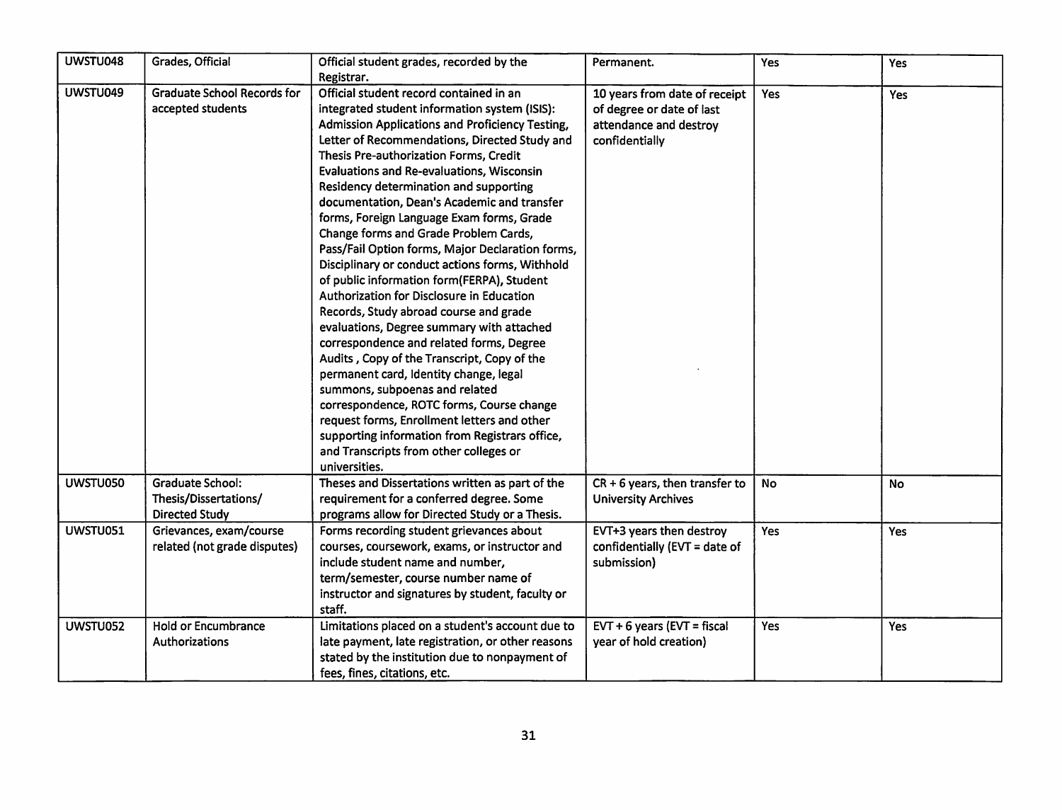| UWSTU048 | Grades, Official                   | Official student grades, recorded by the<br>Registrar. | Permanent.                                                 | Yes | Yes        |
|----------|------------------------------------|--------------------------------------------------------|------------------------------------------------------------|-----|------------|
| UWSTU049 | <b>Graduate School Records for</b> | Official student record contained in an                |                                                            |     |            |
|          | accepted students                  | integrated student information system (ISIS):          | 10 years from date of receipt<br>of degree or date of last | Yes | <b>Yes</b> |
|          |                                    | Admission Applications and Proficiency Testing,        |                                                            |     |            |
|          |                                    | Letter of Recommendations, Directed Study and          | attendance and destroy                                     |     |            |
|          |                                    | Thesis Pre-authorization Forms, Credit                 | confidentially                                             |     |            |
|          |                                    | Evaluations and Re-evaluations, Wisconsin              |                                                            |     |            |
|          |                                    |                                                        |                                                            |     |            |
|          |                                    | Residency determination and supporting                 |                                                            |     |            |
|          |                                    | documentation, Dean's Academic and transfer            |                                                            |     |            |
|          |                                    | forms, Foreign Language Exam forms, Grade              |                                                            |     |            |
|          |                                    | Change forms and Grade Problem Cards,                  |                                                            |     |            |
|          |                                    | Pass/Fail Option forms, Major Declaration forms,       |                                                            |     |            |
|          |                                    | Disciplinary or conduct actions forms, Withhold        |                                                            |     |            |
|          |                                    | of public information form(FERPA), Student             |                                                            |     |            |
|          |                                    | Authorization for Disclosure in Education              |                                                            |     |            |
|          |                                    | Records, Study abroad course and grade                 |                                                            |     |            |
|          |                                    | evaluations, Degree summary with attached              |                                                            |     |            |
|          |                                    | correspondence and related forms, Degree               |                                                            |     |            |
|          |                                    | Audits, Copy of the Transcript, Copy of the            |                                                            |     |            |
|          |                                    | permanent card, Identity change, legal                 |                                                            |     |            |
|          |                                    | summons, subpoenas and related                         |                                                            |     |            |
|          |                                    | correspondence, ROTC forms, Course change              |                                                            |     |            |
|          |                                    | request forms, Enrollment letters and other            |                                                            |     |            |
|          |                                    | supporting information from Registrars office,         |                                                            |     |            |
|          |                                    | and Transcripts from other colleges or                 |                                                            |     |            |
|          |                                    | universities.                                          |                                                            |     |            |
| UWSTU050 | <b>Graduate School:</b>            | Theses and Dissertations written as part of the        | $CR + 6$ years, then transfer to                           | No  | No.        |
|          | Thesis/Dissertations/              | requirement for a conferred degree. Some               | <b>University Archives</b>                                 |     |            |
|          | <b>Directed Study</b>              | programs allow for Directed Study or a Thesis.         |                                                            |     |            |
| UWSTU051 | Grievances, exam/course            | Forms recording student grievances about               | EVT+3 years then destroy                                   | Yes | Yes        |
|          | related (not grade disputes)       | courses, coursework, exams, or instructor and          | confidentially (EVT = date of                              |     |            |
|          |                                    | include student name and number,                       | submission)                                                |     |            |
|          |                                    | term/semester, course number name of                   |                                                            |     |            |
|          |                                    | instructor and signatures by student, faculty or       |                                                            |     |            |
|          |                                    | staff.                                                 |                                                            |     |            |
| UWSTU052 | <b>Hold or Encumbrance</b>         | Limitations placed on a student's account due to       | $EVT + 6$ years ( $EVT =$ fiscal                           | Yes | Yes        |
|          | Authorizations                     | late payment, late registration, or other reasons      | year of hold creation)                                     |     |            |
|          |                                    | stated by the institution due to nonpayment of         |                                                            |     |            |
|          |                                    | fees, fines, citations, etc.                           |                                                            |     |            |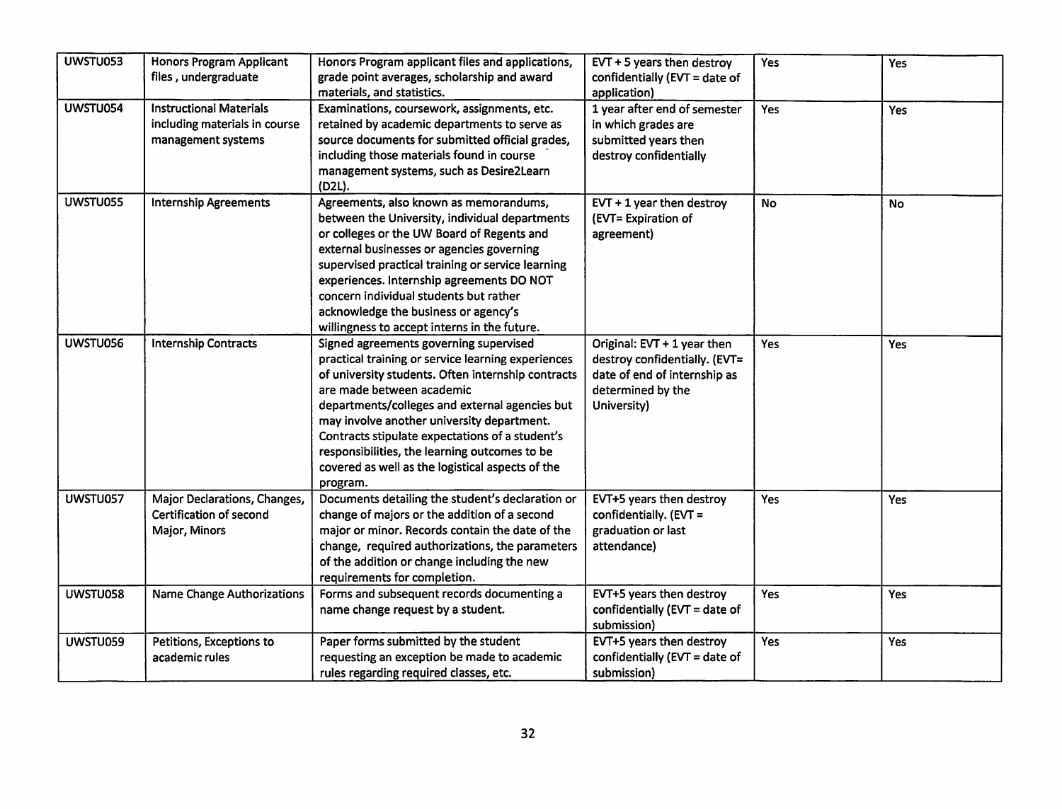| UWSTU053 | Honors Program Applicant          | Honors Program applicant files and applications,   | $EVT + 5$ years then destroy     | Yes        | <b>Yes</b> |
|----------|-----------------------------------|----------------------------------------------------|----------------------------------|------------|------------|
|          | files, undergraduate              | grade point averages, scholarship and award        | confidentially ( $EVT = date$ of |            |            |
|          |                                   | materials, and statistics.                         | application)                     |            |            |
| UWSTU054 | <b>Instructional Materials</b>    | Examinations, coursework, assignments, etc.        | 1 year after end of semester     | Yes        | Yes        |
|          | including materials in course     | retained by academic departments to serve as       | in which grades are              |            |            |
|          | management systems                | source documents for submitted official grades,    | submitted years then             |            |            |
|          |                                   | including those materials found in course          | destroy confidentially           |            |            |
|          |                                   | management systems, such as Desire2Learn           |                                  |            |            |
|          |                                   | (D2L).                                             |                                  |            |            |
| UWSTU055 | <b>Internship Agreements</b>      | Agreements, also known as memorandums,             | $EVT + 1$ year then destroy      | <b>No</b>  | No         |
|          |                                   | between the University, individual departments     | (EVT= Expiration of              |            |            |
|          |                                   | or colleges or the UW Board of Regents and         | agreement)                       |            |            |
|          |                                   | external businesses or agencies governing          |                                  |            |            |
|          |                                   | supervised practical training or service learning  |                                  |            |            |
|          |                                   | experiences. Internship agreements DO NOT          |                                  |            |            |
|          |                                   | concern individual students but rather             |                                  |            |            |
|          |                                   | acknowledge the business or agency's               |                                  |            |            |
|          |                                   | willingness to accept interns in the future.       |                                  |            |            |
| UWSTU056 | <b>Internship Contracts</b>       | Signed agreements governing supervised             | Original: EVT + 1 year then      | <b>Yes</b> | Yes        |
|          |                                   | practical training or service learning experiences | destroy confidentially. (EVT=    |            |            |
|          |                                   | of university students. Often internship contracts | date of end of internship as     |            |            |
|          |                                   | are made between academic                          | determined by the                |            |            |
|          |                                   | departments/colleges and external agencies but     | University)                      |            |            |
|          |                                   | may involve another university department.         |                                  |            |            |
|          |                                   | Contracts stipulate expectations of a student's    |                                  |            |            |
|          |                                   | responsibilities, the learning outcomes to be      |                                  |            |            |
|          |                                   | covered as well as the logistical aspects of the   |                                  |            |            |
|          |                                   | program.                                           |                                  |            |            |
| UWSTU057 | Major Declarations, Changes,      | Documents detailing the student's declaration or   | EVT+5 years then destroy         | Yes        | Yes        |
|          | Certification of second           | change of majors or the addition of a second       | confidentially. (EVT =           |            |            |
|          | Major, Minors                     | major or minor. Records contain the date of the    | graduation or last               |            |            |
|          |                                   | change, required authorizations, the parameters    | attendance)                      |            |            |
|          |                                   | of the addition or change including the new        |                                  |            |            |
|          |                                   | requirements for completion.                       |                                  |            |            |
| UWSTU058 | <b>Name Change Authorizations</b> | Forms and subsequent records documenting a         | EVT+5 years then destroy         | Yes        | Yes        |
|          |                                   | name change request by a student.                  | confidentially (EVT = date of    |            |            |
|          |                                   |                                                    | submission)                      |            |            |
| UWSTU059 | Petitions, Exceptions to          | Paper forms submitted by the student               | EVT+5 years then destroy         | Yes        | Yes        |
|          | academic rules                    | requesting an exception be made to academic        | confidentially (EVT = date of    |            |            |
|          |                                   | rules regarding required classes, etc.             | submission)                      |            |            |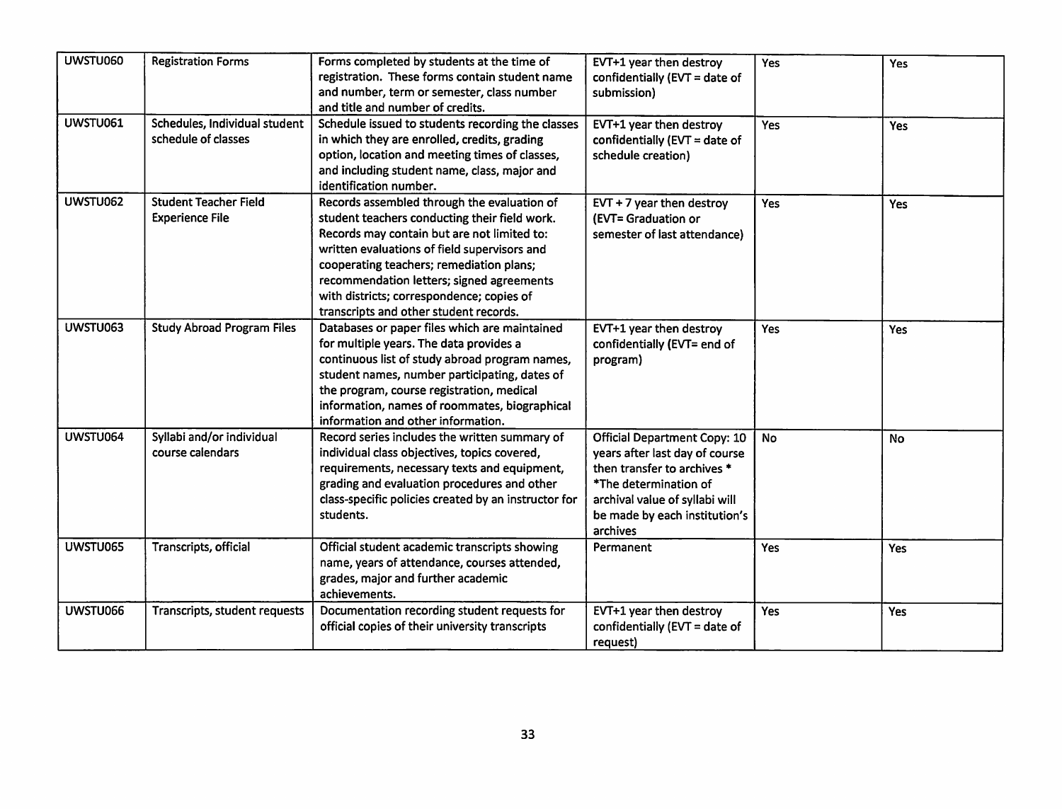| UWSTU060 | <b>Registration Forms</b>                              | Forms completed by students at the time of<br>registration. These forms contain student name<br>and number, term or semester, class number<br>and title and number of credits.                                                                                                                                                                                              | EVT+1 year then destroy<br>confidentially (EVT = date of<br>submission)                                                                                                                                      | Yes | Yes        |
|----------|--------------------------------------------------------|-----------------------------------------------------------------------------------------------------------------------------------------------------------------------------------------------------------------------------------------------------------------------------------------------------------------------------------------------------------------------------|--------------------------------------------------------------------------------------------------------------------------------------------------------------------------------------------------------------|-----|------------|
| UWSTU061 | Schedules, Individual student<br>schedule of classes   | Schedule issued to students recording the classes<br>in which they are enrolled, credits, grading<br>option, location and meeting times of classes,<br>and including student name, class, major and<br>identification number.                                                                                                                                               | EVT+1 year then destroy<br>confidentially ( $EVT = date of$<br>schedule creation)                                                                                                                            | Yes | Yes        |
| UWSTU062 | <b>Student Teacher Field</b><br><b>Experience File</b> | Records assembled through the evaluation of<br>student teachers conducting their field work.<br>Records may contain but are not limited to:<br>written evaluations of field supervisors and<br>cooperating teachers; remediation plans;<br>recommendation letters; signed agreements<br>with districts; correspondence; copies of<br>transcripts and other student records. | $EVT + 7$ year then destroy<br>(EVT= Graduation or<br>semester of last attendance)                                                                                                                           | Yes | <b>Yes</b> |
| UWSTU063 | <b>Study Abroad Program Files</b>                      | Databases or paper files which are maintained<br>for multiple years. The data provides a<br>continuous list of study abroad program names,<br>student names, number participating, dates of<br>the program, course registration, medical<br>information, names of roommates, biographical<br>information and other information.                                             | EVT+1 year then destroy<br>confidentially (EVT= end of<br>program)                                                                                                                                           | Yes | Yes        |
| UWSTU064 | Syllabi and/or individual<br>course calendars          | Record series includes the written summary of<br>individual class objectives, topics covered,<br>requirements, necessary texts and equipment,<br>grading and evaluation procedures and other<br>class-specific policies created by an instructor for<br>students.                                                                                                           | <b>Official Department Copy: 10</b><br>years after last day of course<br>then transfer to archives *<br>*The determination of<br>archival value of syllabi will<br>be made by each institution's<br>archives | No  | No         |
| UWSTU065 | Transcripts, official                                  | Official student academic transcripts showing<br>name, years of attendance, courses attended,<br>grades, major and further academic<br>achievements.                                                                                                                                                                                                                        | Permanent                                                                                                                                                                                                    | Yes | Yes        |
| UWSTU066 | Transcripts, student requests                          | Documentation recording student requests for<br>official copies of their university transcripts                                                                                                                                                                                                                                                                             | EVT+1 year then destroy<br>confidentially (EVT = date of<br>request)                                                                                                                                         | Yes | Yes        |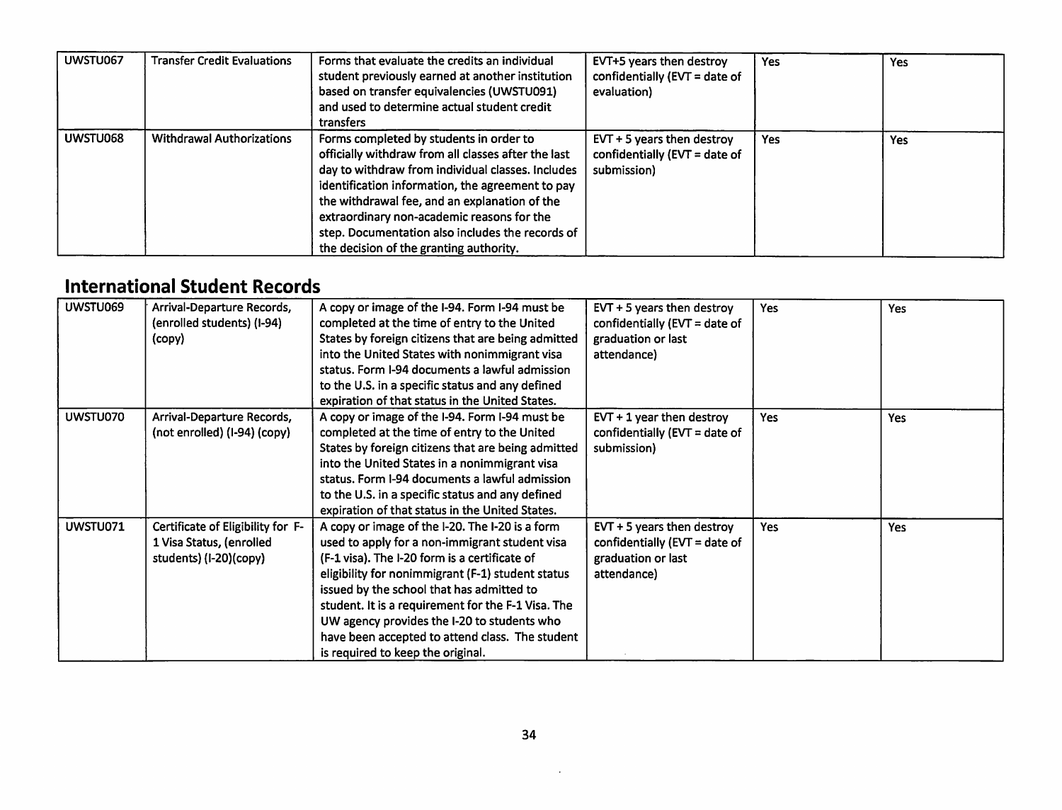| UWSTU067 | <b>Transfer Credit Evaluations</b> | Forms that evaluate the credits an individual<br>student previously earned at another institution<br>based on transfer equivalencies (UWSTU091)<br>and used to determine actual student credit<br>transfers                                                                                                                                                                                           | EVT+5 years then destroy<br>confidentially ( $EVT = date$ of<br>evaluation)  | Yes | Yes |
|----------|------------------------------------|-------------------------------------------------------------------------------------------------------------------------------------------------------------------------------------------------------------------------------------------------------------------------------------------------------------------------------------------------------------------------------------------------------|------------------------------------------------------------------------------|-----|-----|
| UWSTU068 | <b>Withdrawal Authorizations</b>   | Forms completed by students in order to<br>officially withdraw from all classes after the last<br>day to withdraw from individual classes. Includes<br>identification information, the agreement to pay<br>the withdrawal fee, and an explanation of the<br>extraordinary non-academic reasons for the<br>step. Documentation also includes the records of<br>the decision of the granting authority. | $EVT + 5$ years then destroy<br>confidentially (EVT = date of<br>submission) | Yes | Yes |

## *International Student Records*

| UWSTU069 | Arrival-Departure Records,<br>(enrolled students) (I-94)<br>(copy)                      | A copy or image of the I-94. Form I-94 must be<br>completed at the time of entry to the United<br>States by foreign citizens that are being admitted<br>into the United States with nonimmigrant visa<br>status. Form I-94 documents a lawful admission<br>to the U.S. in a specific status and any defined<br>expiration of that status in the United States.                                                                                    | $EVT + 5$ years then destroy<br>confidentially (EVT = date of<br>graduation or last<br>attendance)    | <b>Yes</b> | <b>Yes</b> |
|----------|-----------------------------------------------------------------------------------------|---------------------------------------------------------------------------------------------------------------------------------------------------------------------------------------------------------------------------------------------------------------------------------------------------------------------------------------------------------------------------------------------------------------------------------------------------|-------------------------------------------------------------------------------------------------------|------------|------------|
| UWSTU070 | Arrival-Departure Records,<br>(not enrolled) (I-94) (copy)                              | A copy or image of the I-94. Form I-94 must be<br>completed at the time of entry to the United<br>States by foreign citizens that are being admitted<br>into the United States in a nonimmigrant visa<br>status. Form I-94 documents a lawful admission<br>to the U.S. in a specific status and any defined<br>expiration of that status in the United States.                                                                                    | $EVT + 1$ year then destroy<br>confidentially ( $EVT = date of$<br>submission)                        | Yes        | Yes        |
| UWSTU071 | Certificate of Eligibility for F-<br>1 Visa Status, (enrolled<br>students) (I-20)(copy) | A copy or image of the I-20. The I-20 is a form<br>used to apply for a non-immigrant student visa<br>(F-1 visa). The I-20 form is a certificate of<br>eligibility for nonimmigrant (F-1) student status<br>issued by the school that has admitted to<br>student. It is a requirement for the F-1 Visa. The<br>UW agency provides the I-20 to students who<br>have been accepted to attend class. The student<br>is required to keep the original. | $EVT + 5$ years then destroy<br>confidentially ( $EVT =$ date of<br>graduation or last<br>attendance) | <b>Yes</b> | Yes        |

 $\sim 100$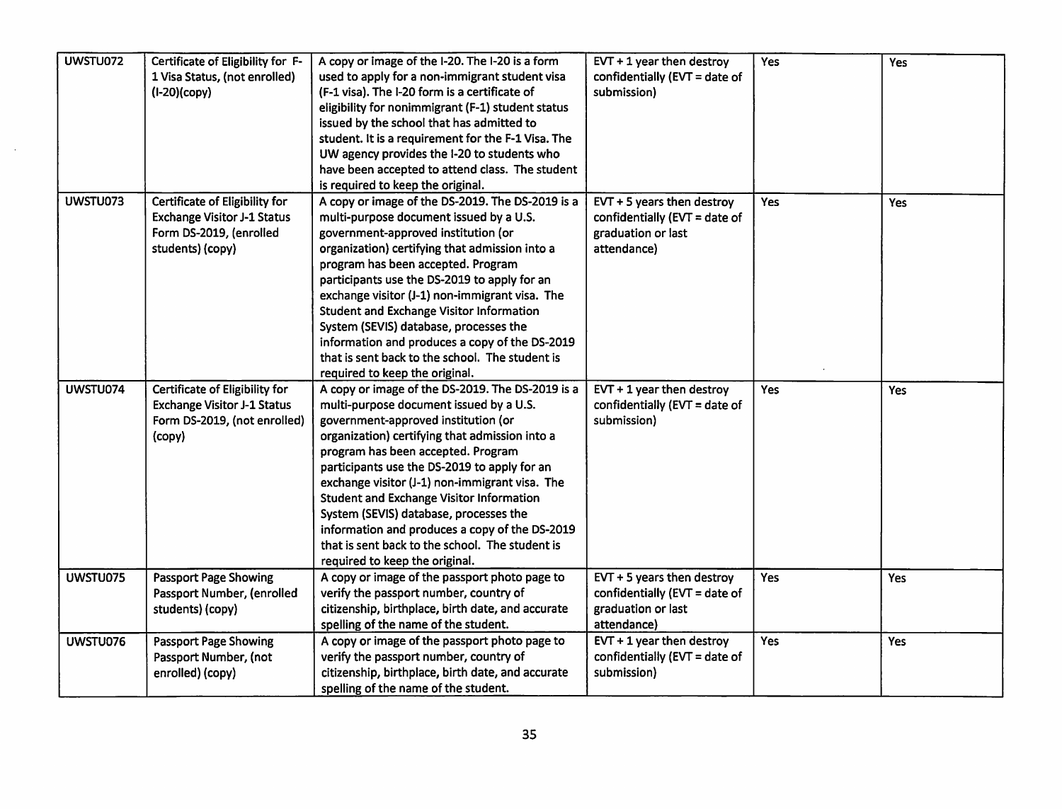| UWSTU072 | Certificate of Eligibility for F-  | A copy or image of the I-20. The I-20 is a form    | $EVT + 1$ year then destroy   | <b>Yes</b> | Yes |
|----------|------------------------------------|----------------------------------------------------|-------------------------------|------------|-----|
|          | 1 Visa Status, (not enrolled)      | used to apply for a non-immigrant student visa     | confidentially (EVT = date of |            |     |
|          | (I-20)(copy)                       | (F-1 visa). The I-20 form is a certificate of      | submission)                   |            |     |
|          |                                    | eligibility for nonimmigrant (F-1) student status  |                               |            |     |
|          |                                    | issued by the school that has admitted to          |                               |            |     |
|          |                                    | student. It is a requirement for the F-1 Visa. The |                               |            |     |
|          |                                    | UW agency provides the I-20 to students who        |                               |            |     |
|          |                                    | have been accepted to attend class. The student    |                               |            |     |
|          |                                    | is required to keep the original.                  |                               |            |     |
| UWSTU073 | Certificate of Eligibility for     | A copy or image of the DS-2019. The DS-2019 is a   | $EVT + 5$ years then destroy  | <b>Yes</b> | Yes |
|          | <b>Exchange Visitor J-1 Status</b> | multi-purpose document issued by a U.S.            | confidentially (EVT = date of |            |     |
|          | Form DS-2019, (enrolled            | government-approved institution (or                | graduation or last            |            |     |
|          | students) (copy)                   | organization) certifying that admission into a     | attendance)                   |            |     |
|          |                                    | program has been accepted. Program                 |                               |            |     |
|          |                                    | participants use the DS-2019 to apply for an       |                               |            |     |
|          |                                    | exchange visitor (J-1) non-immigrant visa. The     |                               |            |     |
|          |                                    | <b>Student and Exchange Visitor Information</b>    |                               |            |     |
|          |                                    | System (SEVIS) database, processes the             |                               |            |     |
|          |                                    | information and produces a copy of the DS-2019     |                               |            |     |
|          |                                    | that is sent back to the school. The student is    |                               |            |     |
|          |                                    | required to keep the original.                     |                               |            |     |
| UWSTU074 | Certificate of Eligibility for     | A copy or image of the DS-2019. The DS-2019 is a   | $EVT + 1$ year then destroy   | Yes        | Yes |
|          | <b>Exchange Visitor J-1 Status</b> | multi-purpose document issued by a U.S.            | confidentially (EVT = date of |            |     |
|          | Form DS-2019, (not enrolled)       | government-approved institution (or                | submission)                   |            |     |
|          | (copy)                             | organization) certifying that admission into a     |                               |            |     |
|          |                                    | program has been accepted. Program                 |                               |            |     |
|          |                                    | participants use the DS-2019 to apply for an       |                               |            |     |
|          |                                    | exchange visitor (J-1) non-immigrant visa. The     |                               |            |     |
|          |                                    | <b>Student and Exchange Visitor Information</b>    |                               |            |     |
|          |                                    | System (SEVIS) database, processes the             |                               |            |     |
|          |                                    | information and produces a copy of the DS-2019     |                               |            |     |
|          |                                    | that is sent back to the school. The student is    |                               |            |     |
|          |                                    | required to keep the original.                     |                               |            |     |
| UWSTU075 | <b>Passport Page Showing</b>       | A copy or image of the passport photo page to      | EVT $+5$ years then destroy   | Yes        | Yes |
|          | Passport Number, (enrolled         | verify the passport number, country of             | confidentially (EVT = date of |            |     |
|          | students) (copy)                   | citizenship, birthplace, birth date, and accurate  | graduation or last            |            |     |
|          |                                    | spelling of the name of the student.               | attendance)                   |            |     |
| UWSTU076 | <b>Passport Page Showing</b>       | A copy or image of the passport photo page to      | $EVT + 1$ year then destroy   | <b>Yes</b> | Yes |
|          | Passport Number, (not              | verify the passport number, country of             | confidentially (EVT = date of |            |     |
|          | enrolled) (copy)                   | citizenship, birthplace, birth date, and accurate  | submission)                   |            |     |
|          |                                    | spelling of the name of the student.               |                               |            |     |

 $\bar{\Delta}$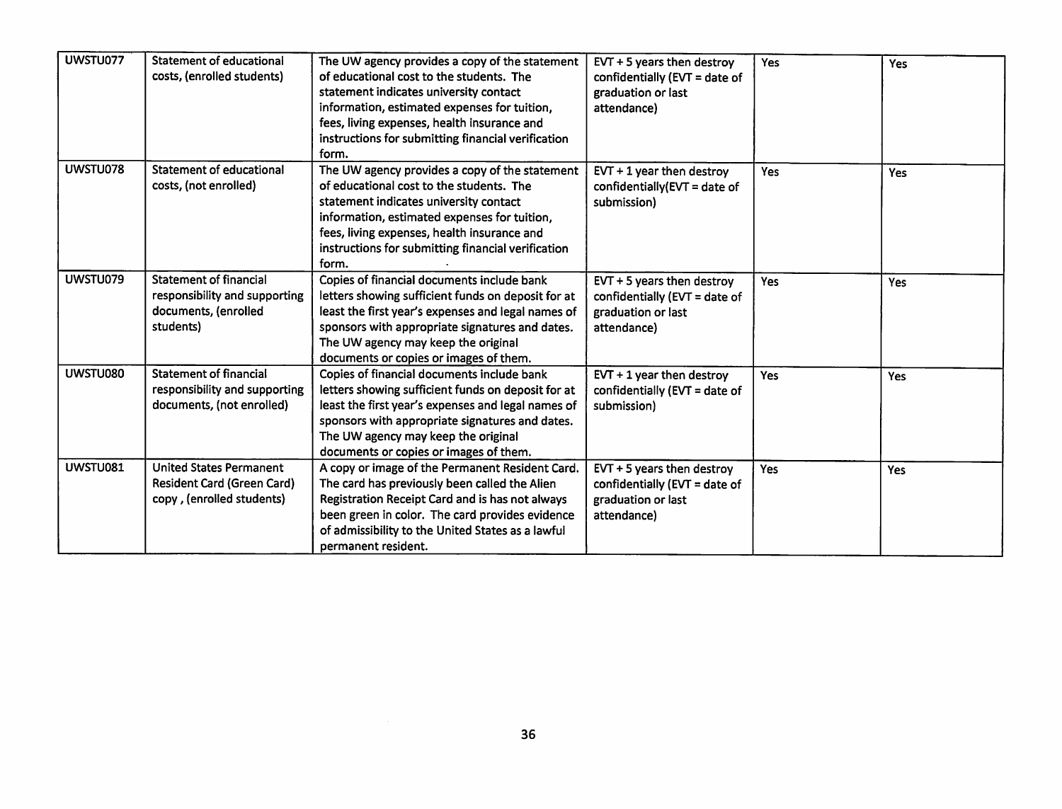| UWSTU077 | <b>Statement of educational</b>   | The UW agency provides a copy of the statement     | $EVT + 5$ years then destroy     | <b>Yes</b> | Yes        |
|----------|-----------------------------------|----------------------------------------------------|----------------------------------|------------|------------|
|          | costs, (enrolled students)        | of educational cost to the students. The           | confidentially (EVT = date of    |            |            |
|          |                                   | statement indicates university contact             | graduation or last               |            |            |
|          |                                   | information, estimated expenses for tuition,       | attendance)                      |            |            |
|          |                                   | fees, living expenses, health insurance and        |                                  |            |            |
|          |                                   | instructions for submitting financial verification |                                  |            |            |
|          |                                   | form.                                              |                                  |            |            |
| UWSTU078 | <b>Statement of educational</b>   | The UW agency provides a copy of the statement     | $EVT + 1$ year then destroy      | <b>Yes</b> | <b>Yes</b> |
|          | costs, (not enrolled)             | of educational cost to the students. The           | confidentially( $EVT = date$ of  |            |            |
|          |                                   | statement indicates university contact             | submission)                      |            |            |
|          |                                   | information, estimated expenses for tuition,       |                                  |            |            |
|          |                                   | fees, living expenses, health insurance and        |                                  |            |            |
|          |                                   | instructions for submitting financial verification |                                  |            |            |
|          |                                   | form.                                              |                                  |            |            |
| UWSTU079 | <b>Statement of financial</b>     | Copies of financial documents include bank         | $EVT + 5$ years then destroy     | Yes        | Yes        |
|          | responsibility and supporting     | letters showing sufficient funds on deposit for at | confidentially (EVT = date of    |            |            |
|          | documents, (enrolled              | least the first year's expenses and legal names of | graduation or last               |            |            |
|          | students)                         | sponsors with appropriate signatures and dates.    | attendance)                      |            |            |
|          |                                   | The UW agency may keep the original                |                                  |            |            |
|          |                                   | documents or copies or images of them.             |                                  |            |            |
| UWSTU080 | <b>Statement of financial</b>     | Copies of financial documents include bank         | $EVT + 1$ year then destroy      | Yes        | Yes        |
|          | responsibility and supporting     | letters showing sufficient funds on deposit for at | confidentially (EVT = date of    |            |            |
|          | documents, (not enrolled)         | least the first year's expenses and legal names of | submission)                      |            |            |
|          |                                   | sponsors with appropriate signatures and dates.    |                                  |            |            |
|          |                                   | The UW agency may keep the original                |                                  |            |            |
|          |                                   | documents or copies or images of them.             |                                  |            |            |
| UWSTU081 | <b>United States Permanent</b>    | A copy or image of the Permanent Resident Card.    | EVT $+5$ years then destroy      | Yes        | <b>Yes</b> |
|          | <b>Resident Card (Green Card)</b> | The card has previously been called the Alien      | confidentially ( $EVT = date of$ |            |            |
|          | copy, (enrolled students)         | Registration Receipt Card and is has not always    | graduation or last               |            |            |
|          |                                   | been green in color. The card provides evidence    | attendance)                      |            |            |
|          |                                   | of admissibility to the United States as a lawful  |                                  |            |            |
|          |                                   | permanent resident.                                |                                  |            |            |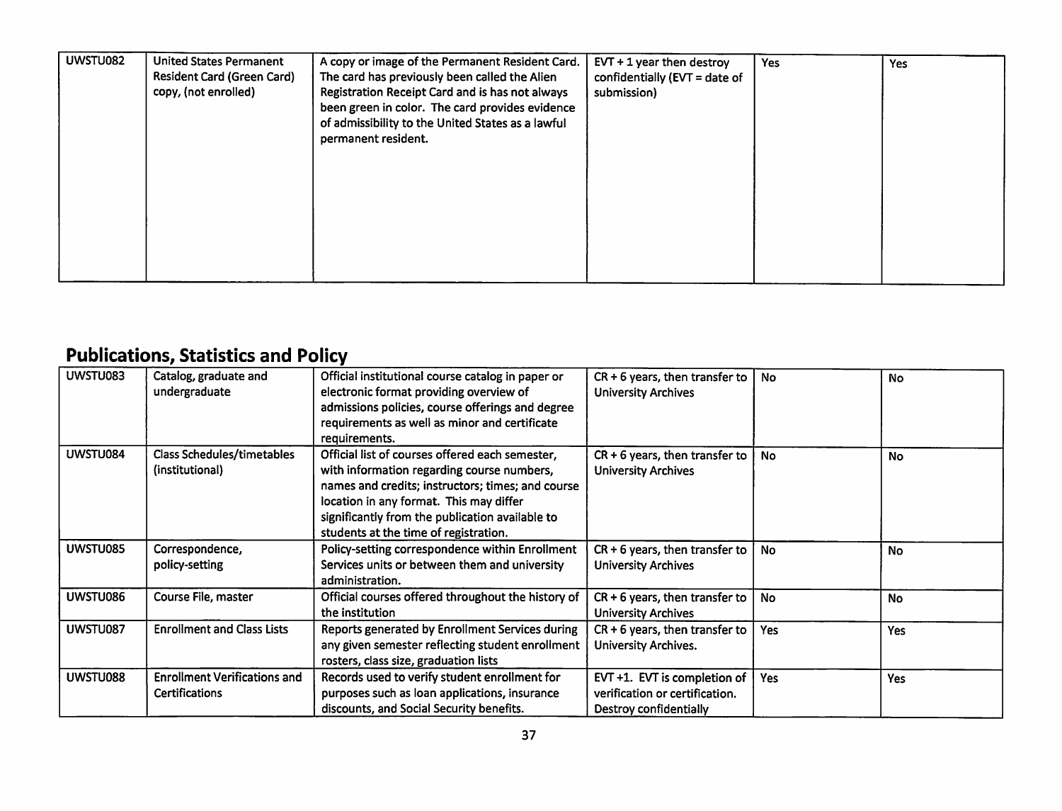| UWSTU082<br><b>United States Permanent</b><br>A copy or image of the Permanent Resident Card.<br><b>Resident Card (Green Card)</b><br>The card has previously been called the Alien<br>copy, (not enrolled)<br>Registration Receipt Card and is has not always<br>been green in color. The card provides evidence<br>of admissibility to the United States as a lawful<br>permanent resident. | $EVT + 1$ year then destroy<br><b>Yes</b><br><b>Yes</b><br>confidentially (EVT = date of<br>submission) |
|-----------------------------------------------------------------------------------------------------------------------------------------------------------------------------------------------------------------------------------------------------------------------------------------------------------------------------------------------------------------------------------------------|---------------------------------------------------------------------------------------------------------|
|-----------------------------------------------------------------------------------------------------------------------------------------------------------------------------------------------------------------------------------------------------------------------------------------------------------------------------------------------------------------------------------------------|---------------------------------------------------------------------------------------------------------|

# *Publications, Statistics and Policy*

| UWSTU083 | Catalog, graduate and               | Official institutional course catalog in paper or  | $CR + 6$ years, then transfer to | No  | No        |
|----------|-------------------------------------|----------------------------------------------------|----------------------------------|-----|-----------|
|          | undergraduate                       | electronic format providing overview of            | <b>University Archives</b>       |     |           |
|          |                                     | admissions policies, course offerings and degree   |                                  |     |           |
|          |                                     | requirements as well as minor and certificate      |                                  |     |           |
|          |                                     | requirements.                                      |                                  |     |           |
| UWSTU084 | <b>Class Schedules/timetables</b>   | Official list of courses offered each semester,    | $CR + 6$ years, then transfer to | No  | <b>No</b> |
|          | (institutional)                     | with information regarding course numbers,         | <b>University Archives</b>       |     |           |
|          |                                     | names and credits; instructors; times; and course  |                                  |     |           |
|          |                                     | location in any format. This may differ            |                                  |     |           |
|          |                                     | significantly from the publication available to    |                                  |     |           |
|          |                                     | students at the time of registration.              |                                  |     |           |
| UWSTU085 | Correspondence,                     | Policy-setting correspondence within Enrollment    | $CR + 6$ years, then transfer to | No  | <b>No</b> |
|          | policy-setting                      | Services units or between them and university      | <b>University Archives</b>       |     |           |
|          |                                     | administration.                                    |                                  |     |           |
| UWSTU086 | Course File, master                 | Official courses offered throughout the history of | $CR + 6$ years, then transfer to | No  | <b>No</b> |
|          |                                     | the institution                                    | <b>University Archives</b>       |     |           |
| UWSTU087 | <b>Enrollment and Class Lists</b>   | Reports generated by Enrollment Services during    | $CR + 6$ years, then transfer to | Yes | Yes       |
|          |                                     | any given semester reflecting student enrollment   | University Archives.             |     |           |
|          |                                     | rosters, class size, graduation lists              |                                  |     |           |
| UWSTU088 | <b>Enrollment Verifications and</b> | Records used to verify student enrollment for      | EVT +1. EVT is completion of     | Yes | Yes       |
|          | <b>Certifications</b>               | purposes such as loan applications, insurance      | verification or certification.   |     |           |
|          |                                     | discounts, and Social Security benefits.           | Destroy confidentially           |     |           |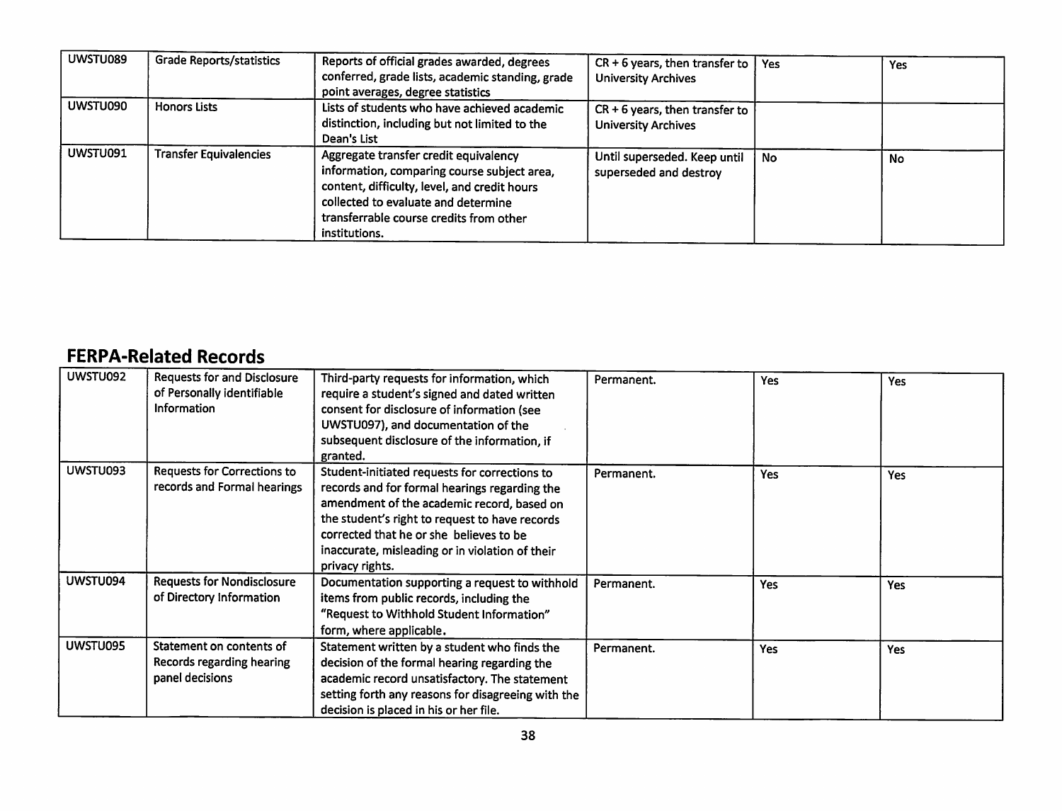| UWSTU089 | <b>Grade Reports/statistics</b> | Reports of official grades awarded, degrees<br>conferred, grade lists, academic standing, grade<br>point averages, degree statistics                                                                                                    | $CR + 6$ years, then transfer to<br><b>University Archives</b> | <b>Yes</b> | Yes |
|----------|---------------------------------|-----------------------------------------------------------------------------------------------------------------------------------------------------------------------------------------------------------------------------------------|----------------------------------------------------------------|------------|-----|
| UWSTU090 | <b>Honors Lists</b>             | Lists of students who have achieved academic<br>distinction, including but not limited to the<br>Dean's List                                                                                                                            | $CR + 6$ years, then transfer to<br><b>University Archives</b> |            |     |
| UWSTU091 | <b>Transfer Equivalencies</b>   | Aggregate transfer credit equivalency<br>information, comparing course subject area,<br>content, difficulty, level, and credit hours<br>collected to evaluate and determine<br>transferrable course credits from other<br>institutions. | Until superseded. Keep until<br>superseded and destroy         | No         | No  |

## *FERPA-Related Records*

| UWSTU092 | <b>Requests for and Disclosure</b> | Third-party requests for information, which        | Permanent. | <b>Yes</b> | <b>Yes</b> |
|----------|------------------------------------|----------------------------------------------------|------------|------------|------------|
|          | of Personally identifiable         | require a student's signed and dated written       |            |            |            |
|          | Information                        | consent for disclosure of information (see         |            |            |            |
|          |                                    | UWSTU097), and documentation of the                |            |            |            |
|          |                                    | subsequent disclosure of the information, if       |            |            |            |
|          |                                    | granted.                                           |            |            |            |
| UWSTU093 | <b>Requests for Corrections to</b> | Student-initiated requests for corrections to      | Permanent. | Yes        | Yes        |
|          | records and Formal hearings        | records and for formal hearings regarding the      |            |            |            |
|          |                                    | amendment of the academic record, based on         |            |            |            |
|          |                                    | the student's right to request to have records     |            |            |            |
|          |                                    | corrected that he or she believes to be            |            |            |            |
|          |                                    | inaccurate, misleading or in violation of their    |            |            |            |
|          |                                    | privacy rights.                                    |            |            |            |
| UWSTU094 | <b>Requests for Nondisclosure</b>  | Documentation supporting a request to withhold     | Permanent. | Yes        | Yes        |
|          | of Directory Information           | items from public records, including the           |            |            |            |
|          |                                    | "Request to Withhold Student Information"          |            |            |            |
|          |                                    | form, where applicable.                            |            |            |            |
| UWSTU095 | Statement on contents of           | Statement written by a student who finds the       | Permanent. |            |            |
|          | Records regarding hearing          | decision of the formal hearing regarding the       |            | Yes        | Yes        |
|          |                                    |                                                    |            |            |            |
|          | panel decisions                    | academic record unsatisfactory. The statement      |            |            |            |
|          |                                    | setting forth any reasons for disagreeing with the |            |            |            |
|          |                                    | decision is placed in his or her file.             |            |            |            |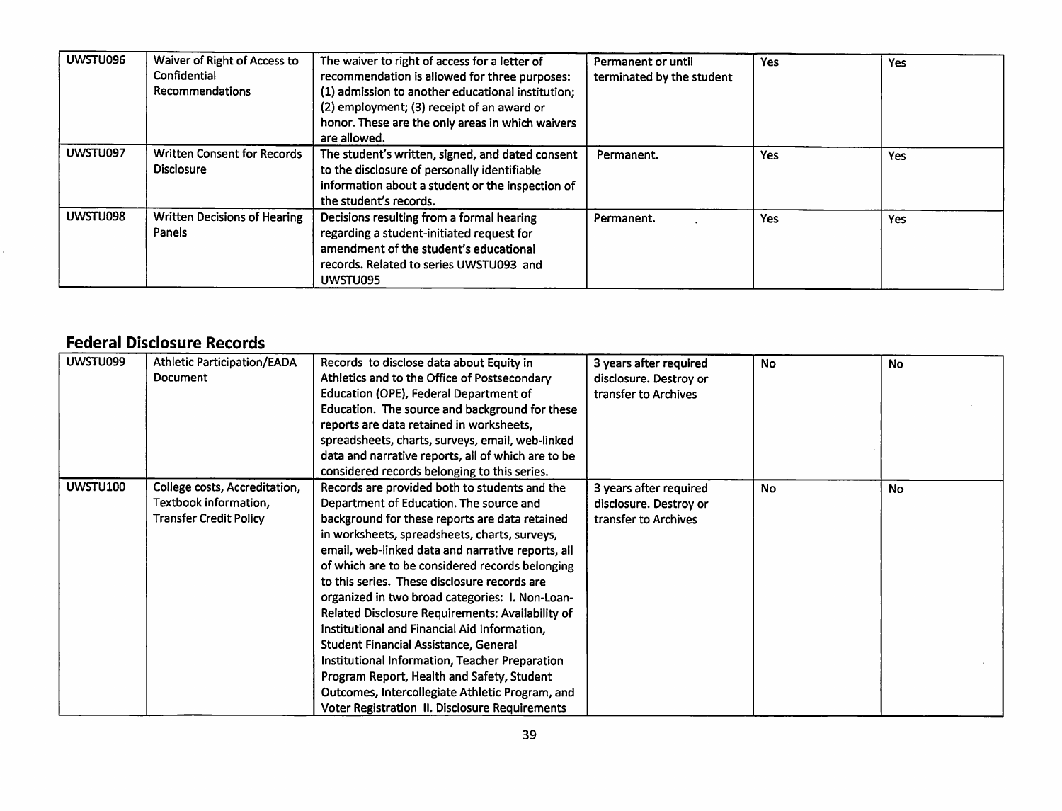| UWSTU096 | Waiver of Right of Access to<br>Confidential<br><b>Recommendations</b> | The waiver to right of access for a letter of<br>recommendation is allowed for three purposes:<br>(1) admission to another educational institution;<br>(2) employment; (3) receipt of an award or<br>honor. These are the only areas in which waivers<br>are allowed. | Permanent or until<br>terminated by the student | Yes        | Yes |
|----------|------------------------------------------------------------------------|-----------------------------------------------------------------------------------------------------------------------------------------------------------------------------------------------------------------------------------------------------------------------|-------------------------------------------------|------------|-----|
| UWSTU097 | <b>Written Consent for Records</b><br><b>Disclosure</b>                | The student's written, signed, and dated consent<br>to the disclosure of personally identifiable<br>information about a student or the inspection of<br>the student's records.                                                                                        | Permanent.                                      | <b>Yes</b> | Yes |
| UWSTU098 | <b>Written Decisions of Hearing</b><br>Panels                          | Decisions resulting from a formal hearing<br>regarding a student-initiated request for<br>amendment of the student's educational<br>records. Related to series UWSTU093 and<br>UWSTU095                                                                               | Permanent.                                      | Yes        | Yes |

### *Federal Disclosure Records*

| UWSTU099 | Athletic Participation/EADA   | Records to disclose data about Equity in              | 3 years after required | <b>No</b> | <b>No</b> |
|----------|-------------------------------|-------------------------------------------------------|------------------------|-----------|-----------|
|          | <b>Document</b>               | Athletics and to the Office of Postsecondary          | disclosure. Destroy or |           |           |
|          |                               | Education (OPE), Federal Department of                | transfer to Archives   |           |           |
|          |                               | Education. The source and background for these        |                        |           |           |
|          |                               | reports are data retained in worksheets,              |                        |           |           |
|          |                               | spreadsheets, charts, surveys, email, web-linked      |                        |           |           |
|          |                               | data and narrative reports, all of which are to be    |                        |           |           |
|          |                               | considered records belonging to this series.          |                        |           |           |
| UWSTU100 | College costs, Accreditation, | Records are provided both to students and the         | 3 years after required | <b>No</b> | <b>No</b> |
|          | Textbook information,         | Department of Education. The source and               | disclosure. Destroy or |           |           |
|          | <b>Transfer Credit Policy</b> | background for these reports are data retained        | transfer to Archives   |           |           |
|          |                               | in worksheets, spreadsheets, charts, surveys,         |                        |           |           |
|          |                               | email, web-linked data and narrative reports, all     |                        |           |           |
|          |                               | of which are to be considered records belonging       |                        |           |           |
|          |                               | to this series. These disclosure records are          |                        |           |           |
|          |                               | organized in two broad categories: I. Non-Loan-       |                        |           |           |
|          |                               | Related Disclosure Requirements: Availability of      |                        |           |           |
|          |                               | Institutional and Financial Aid Information,          |                        |           |           |
|          |                               | <b>Student Financial Assistance, General</b>          |                        |           |           |
|          |                               | Institutional Information, Teacher Preparation        |                        |           |           |
|          |                               | Program Report, Health and Safety, Student            |                        |           |           |
|          |                               | Outcomes, Intercollegiate Athletic Program, and       |                        |           |           |
|          |                               | <b>Voter Registration II. Disclosure Requirements</b> |                        |           |           |